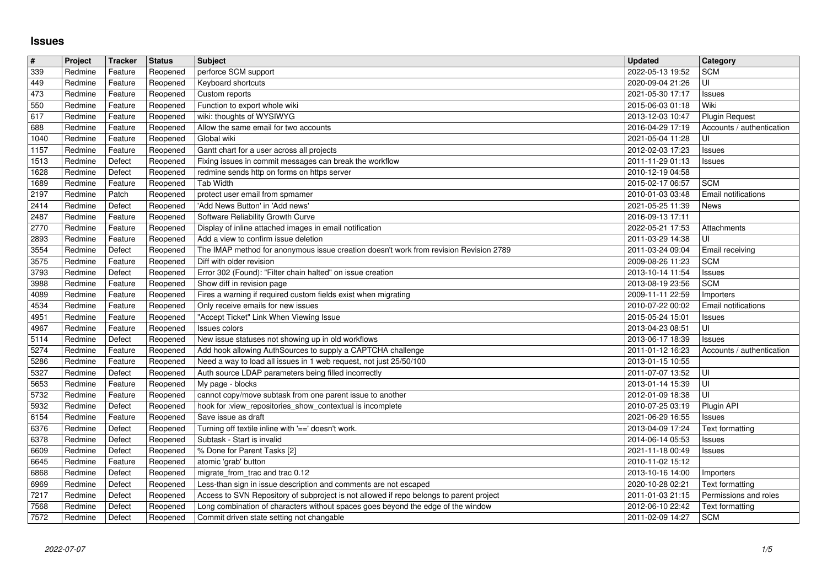## **Issues**

| $\pmb{\#}$   | Project            | Tracker            | <b>Status</b>        | <b>Subject</b>                                                                                                                                                                         | <b>Updated</b>                       | Category                                                  |
|--------------|--------------------|--------------------|----------------------|----------------------------------------------------------------------------------------------------------------------------------------------------------------------------------------|--------------------------------------|-----------------------------------------------------------|
| 339          | Redmine            | Feature            | Reopened             | perforce SCM support                                                                                                                                                                   | 2022-05-13 19:52                     | <b>SCM</b>                                                |
| 449<br>473   | Redmine<br>Redmine | Feature<br>Feature | Reopened<br>Reopened | Keyboard shortcuts<br>Custom reports                                                                                                                                                   | 2020-09-04 21:26<br>2021-05-30 17:17 | UI<br>Issues                                              |
| 550          | Redmine            | Feature            | Reopened             | Function to export whole wiki                                                                                                                                                          | 2015-06-03 01:18                     | Wiki                                                      |
| 617          | Redmine            | Feature            | Reopened             | wiki: thoughts of WYSIWYG                                                                                                                                                              | 2013-12-03 10:47                     | <b>Plugin Request</b>                                     |
| 688          | Redmine            | Feature            | Reopened             | Allow the same email for two accounts                                                                                                                                                  | 2016-04-29 17:19                     | Accounts / authentication                                 |
| 1040         | Redmine            | Feature            | Reopened             | Global wiki                                                                                                                                                                            | 2021-05-04 11:28                     | UI                                                        |
| 1157<br>1513 | Redmine<br>Redmine | Feature<br>Defect  | Reopened<br>Reopened | Gantt chart for a user across all projects<br>Fixing issues in commit messages can break the workflow                                                                                  | 2012-02-03 17:23<br>2011-11-29 01:13 | Issues<br>Issues                                          |
| 1628         | Redmine            | Defect             | Reopened             | redmine sends http on forms on https server                                                                                                                                            | 2010-12-19 04:58                     |                                                           |
| 1689         | Redmine            | Feature            | Reopened             | Tab Width                                                                                                                                                                              | 2015-02-17 06:57                     | <b>SCM</b>                                                |
| 2197         | Redmine            | Patch              | Reopened             | protect user email from spmamer                                                                                                                                                        | 2010-01-03 03:48                     | Email notifications                                       |
| 2414         | Redmine            | Defect             | Reopened             | 'Add News Button' in 'Add news'                                                                                                                                                        | 2021-05-25 11:39                     | News                                                      |
| 2487<br>2770 | Redmine<br>Redmine | Feature<br>Feature | Reopened<br>Reopened | Software Reliability Growth Curve<br>Display of inline attached images in email notification                                                                                           | 2016-09-13 17:11<br>2022-05-21 17:53 | Attachments                                               |
| 2893         | Redmine            | Feature            | Reopened             | Add a view to confirm issue deletion                                                                                                                                                   | 2011-03-29 14:38                     | UI                                                        |
| 3554         | Redmine            | Defect             | Reopened             | The IMAP method for anonymous issue creation doesn't work from revision Revision 2789                                                                                                  | 2011-03-24 09:04                     | Email receiving                                           |
| 3575         | Redmine            | Feature            | Reopened             | Diff with older revision                                                                                                                                                               | 2009-08-26 11:23                     | <b>SCM</b>                                                |
| 3793         | Redmine            | Defect             | Reopened             | Error 302 (Found): "Filter chain halted" on issue creation                                                                                                                             | 2013-10-14 11:54                     | Issues                                                    |
| 3988<br>4089 | Redmine<br>Redmine | Feature<br>Feature | Reopened<br>Reopened | Show diff in revision page<br>Fires a warning if required custom fields exist when migrating                                                                                           | 2013-08-19 23:56<br>2009-11-11 22:59 | <b>SCM</b><br>Importers                                   |
| 4534         | Redmine            | Feature            | Reopened             | Only receive emails for new issues                                                                                                                                                     | 2010-07-22 00:02                     | Email notifications                                       |
| 4951         | Redmine            | Feature            | Reopened             | "Accept Ticket" Link When Viewing Issue                                                                                                                                                | 2015-05-24 15:01                     | Issues                                                    |
| 4967         | Redmine            | Feature            | Reopened             | Issues colors                                                                                                                                                                          | 2013-04-23 08:51                     | UI                                                        |
| 5114         | Redmine            | Defect             | Reopened             | New issue statuses not showing up in old workflows                                                                                                                                     | 2013-06-17 18:39                     | Issues                                                    |
| 5274<br>5286 | Redmine<br>Redmine | Feature<br>Feature | Reopened<br>Reopened | Add hook allowing AuthSources to supply a CAPTCHA challenge<br>Need a way to load all issues in 1 web request, not just 25/50/100                                                      | 2011-01-12 16:23<br>2013-01-15 10:55 | Accounts / authentication                                 |
| 5327         | Redmine            | Defect             | Reopened             | Auth source LDAP parameters being filled incorrectly                                                                                                                                   | 2011-07-07 13:52                     | ΙUΙ                                                       |
| 5653         | Redmine            | Feature            | Reopened             | My page - blocks                                                                                                                                                                       | 2013-01-14 15:39                     | UI                                                        |
| 5732         | Redmine            | Feature            | Reopened             | cannot copy/move subtask from one parent issue to another                                                                                                                              | 2012-01-09 18:38                     | l UI                                                      |
| 5932         | Redmine            | Defect             | Reopened             | hook for :view_repositories_show_contextual is incomplete                                                                                                                              | 2010-07-25 03:19                     | Plugin API                                                |
| 6154         | Redmine            | Feature            | Reopened             | Save issue as draft                                                                                                                                                                    | 2021-06-29 16:55                     | Issues                                                    |
| 6376<br>6378 | Redmine<br>Redmine | Defect<br>Defect   | Reopened<br>Reopened | Turning off textile inline with '==' doesn't work.<br>Subtask - Start is invalid                                                                                                       | 2013-04-09 17:24<br>2014-06-14 05:53 | Text formatting<br>Issues                                 |
| 6609         | Redmine            | Defect             | Reopened             | % Done for Parent Tasks [2]                                                                                                                                                            | 2021-11-18 00:49                     | Issues                                                    |
| 6645         | Redmine            | Feature            | Reopened             | atomic 'grab' button                                                                                                                                                                   | 2010-11-02 15:12                     |                                                           |
| 6868         | Redmine            | Defect             | Reopened             | migrate_from_trac and trac 0.12                                                                                                                                                        | 2013-10-16 14:00                     | Importers                                                 |
| 6969         | Redmine            | Defect             | Reopened             | Less-than sign in issue description and comments are not escaped                                                                                                                       | 2020-10-28 02:21                     | Text formatting                                           |
| 7217<br>7568 | Redmine<br>Redmine | Defect<br>Defect   | Reopened             | Reopened   Access to SVN Repository of subproject is not allowed if repo belongs to parent project<br>Long combination of characters without spaces goes beyond the edge of the window | 2012-06-10 22:42                     | 2011-01-03 21:15 Permissions and roles<br>Text formatting |
| 7572         | Redmine            | Defect             | Reopened             | Commit driven state setting not changable                                                                                                                                              | 2011-02-09 14:27                     | <b>SCM</b>                                                |
|              |                    |                    |                      |                                                                                                                                                                                        |                                      |                                                           |
|              |                    |                    |                      |                                                                                                                                                                                        |                                      |                                                           |
|              |                    |                    |                      |                                                                                                                                                                                        |                                      |                                                           |
|              |                    |                    |                      |                                                                                                                                                                                        |                                      |                                                           |
|              |                    |                    |                      |                                                                                                                                                                                        |                                      |                                                           |
|              |                    |                    |                      |                                                                                                                                                                                        |                                      |                                                           |
|              |                    |                    |                      |                                                                                                                                                                                        |                                      |                                                           |
|              |                    |                    |                      |                                                                                                                                                                                        |                                      |                                                           |
|              |                    |                    |                      |                                                                                                                                                                                        |                                      |                                                           |
|              |                    |                    |                      |                                                                                                                                                                                        |                                      |                                                           |
|              |                    |                    |                      |                                                                                                                                                                                        |                                      |                                                           |
|              |                    |                    |                      |                                                                                                                                                                                        |                                      |                                                           |
|              |                    |                    |                      |                                                                                                                                                                                        |                                      |                                                           |
|              |                    |                    |                      |                                                                                                                                                                                        |                                      |                                                           |
|              |                    |                    |                      |                                                                                                                                                                                        |                                      |                                                           |
|              |                    |                    |                      |                                                                                                                                                                                        |                                      |                                                           |
|              |                    |                    |                      |                                                                                                                                                                                        |                                      |                                                           |
|              |                    |                    |                      |                                                                                                                                                                                        |                                      |                                                           |
|              |                    |                    |                      |                                                                                                                                                                                        |                                      |                                                           |
|              |                    |                    |                      |                                                                                                                                                                                        |                                      |                                                           |
|              |                    |                    |                      |                                                                                                                                                                                        |                                      |                                                           |
|              |                    |                    |                      |                                                                                                                                                                                        |                                      |                                                           |
|              |                    |                    |                      |                                                                                                                                                                                        |                                      |                                                           |
|              |                    |                    |                      |                                                                                                                                                                                        |                                      |                                                           |
|              |                    |                    |                      |                                                                                                                                                                                        |                                      |                                                           |
|              |                    |                    |                      |                                                                                                                                                                                        |                                      |                                                           |
|              |                    |                    |                      |                                                                                                                                                                                        |                                      |                                                           |
|              |                    |                    |                      |                                                                                                                                                                                        |                                      |                                                           |
|              |                    |                    |                      |                                                                                                                                                                                        |                                      |                                                           |
|              |                    |                    |                      |                                                                                                                                                                                        |                                      |                                                           |
|              |                    |                    |                      |                                                                                                                                                                                        |                                      |                                                           |
|              |                    |                    |                      |                                                                                                                                                                                        |                                      |                                                           |
|              |                    |                    |                      |                                                                                                                                                                                        |                                      |                                                           |
|              |                    |                    |                      |                                                                                                                                                                                        |                                      |                                                           |
|              |                    |                    |                      |                                                                                                                                                                                        |                                      |                                                           |
|              |                    |                    |                      |                                                                                                                                                                                        |                                      |                                                           |
|              |                    |                    |                      |                                                                                                                                                                                        |                                      |                                                           |
|              |                    |                    |                      |                                                                                                                                                                                        |                                      |                                                           |
|              |                    |                    |                      |                                                                                                                                                                                        |                                      |                                                           |
|              |                    |                    |                      |                                                                                                                                                                                        |                                      |                                                           |
|              |                    |                    |                      |                                                                                                                                                                                        |                                      |                                                           |
|              |                    |                    |                      |                                                                                                                                                                                        |                                      |                                                           |
|              |                    |                    |                      |                                                                                                                                                                                        |                                      |                                                           |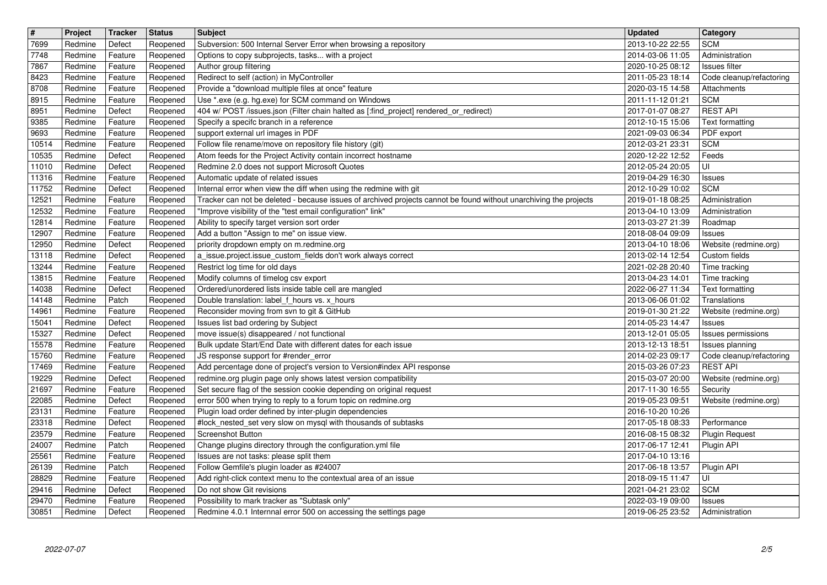| 7699<br>2013-10-22 22:55<br><b>SCM</b><br>Redmine<br>Defect<br>Subversion: 500 Internal Server Error when browsing a repository<br>Reopened<br>2014-03-06 11:05<br>7748<br>Redmine<br>Feature<br>Reopened<br>Options to copy subprojects, tasks with a project<br>Administration<br>Author group filtering<br>2020-10-25 08:12<br>7867<br>Redmine<br>Feature<br>Reopened<br>Issues filter<br>Redirect to self (action) in MyController<br>2011-05-23 18:14<br>Redmine<br>Feature<br>Reopened<br>Provide a "download multiple files at once" feature<br>2020-03-15 14:58<br>Redmine<br>Feature<br>Reopened<br>Attachments<br><b>SCM</b><br>8915<br>Use *.exe (e.g. hg.exe) for SCM command on Windows<br>2011-11-12 01:21<br>Redmine<br>Feature<br>Reopened<br>404 w/ POST /issues.json (Filter chain halted as [:find_project] rendered_or_redirect)<br><b>REST API</b><br>8951<br>Redmine<br>Defect<br>Reopened<br>2017-01-07 08:27<br>Specify a specifc branch in a reference<br>Redmine<br>Reopened<br>2012-10-15 15:06<br>Feature<br>support external url images in PDF<br>9693<br>Redmine<br>Feature<br>Reopened<br>2021-09-03 06:34<br>PDF export<br><b>SCM</b><br>Follow file rename/move on repository file history (git)<br>10514<br>Redmine<br>Feature<br>Reopened<br>2012-03-21 23:31<br>Atom feeds for the Project Activity contain incorrect hostname<br>Feeds<br>10535<br>Redmine<br>Defect<br>Reopened<br>2020-12-22 12:52<br>Redmine 2.0 does not support Microsoft Quotes<br>UI<br>11010<br>Redmine<br>Defect<br>Reopened<br>2012-05-24 20:05<br>11316<br>Automatic update of related issues<br>Redmine<br>Feature<br>Reopened<br>2019-04-29 16:30<br>Issues<br>11752<br>Internal error when view the diff when using the redmine with git<br><b>SCM</b><br>Redmine<br>Defect<br>Reopened<br>2012-10-29 10:02<br>Tracker can not be deleted - because issues of archived projects cannot be found without unarchiving the projects<br>12521<br>Redmine<br>Reopened<br>2019-01-18 08:25<br>Administration<br>Feature<br>12532<br>"Improve visibility of the "test email configuration" link"<br>Redmine<br>Feature<br>Reopened<br>2013-04-10 13:09<br>Administration<br>12814<br>Redmine<br>Feature<br>Reopened<br>Ability to specify target version sort order<br>2013-03-27 21:39<br>Roadmap<br>Add a button "Assign to me" on issue view.<br>12907<br>Redmine<br>Feature<br>Reopened<br>2018-08-04 09:09<br>Issues<br>12950<br>Redmine<br>Defect<br>priority dropdown empty on m.redmine.org<br>2013-04-10 18:06<br>Reopened<br>13118<br>Redmine<br>a issue.project.issue_custom_fields don't work always correct<br>2013-02-14 12:54<br>Defect<br>Reopened<br>Custom fields<br>Restrict log time for old days<br>2021-02-28 20:40<br>13244<br>Redmine<br>Feature<br>Reopened<br>Time tracking<br>Modify columns of timelog csv export<br>13815<br>Redmine<br>Reopened<br>2013-04-23 14:01<br>Time tracking<br>Feature<br>Ordered/unordered lists inside table cell are mangled<br>14038<br>Redmine<br>Defect<br>Reopened<br>2022-06-27 11:34<br>14148<br>Double translation: label_f_hours vs. x_hours<br>2013-06-06 01:02<br>Redmine<br>Patch<br>Reopened<br>Translations<br>Reconsider moving from svn to git & GitHub<br>14961<br>Redmine<br>Feature<br>Reopened<br>2019-01-30 21:22<br>Issues list bad ordering by Subject<br>15041<br>Redmine<br>Defect<br>Reopened<br>2014-05-23 14:47<br>Issues<br>move issue(s) disappeared / not functional<br>15327<br>Redmine<br>Defect<br>2013-12-01 05:05<br>Reopened<br>Bulk update Start/End Date with different dates for each issue<br>15578<br>Redmine<br>Feature<br>Reopened<br>2013-12-13 18:51<br>15760<br>Redmine<br>Feature<br>Reopened<br>JS response support for #render_error<br>2014-02-23 09:17<br>Add percentage done of project's version to Version#index API response<br><b>REST API</b><br>17469<br>Redmine<br>Feature<br>Reopened<br>2015-03-26 07:23<br>19229<br>redmine.org plugin page only shows latest version compatibility<br>Redmine<br>Defect<br>2015-03-07 20:00<br>Reopened<br>Set secure flag of the session cookie depending on original request<br>Redmine<br>Feature<br>Reopened<br>2017-11-30 16:55<br>Security<br>22085<br>2019-05-23 09:51<br>Redmine<br>Defect<br>Reopened<br>error 500 when trying to reply to a forum topic on redmine.org<br>Plugin load order defined by inter-plugin dependencies<br>23131<br>Redmine<br>Feature<br>Reopened<br>2016-10-20 10:26<br>#lock_nested_set very slow on mysql with thousands of subtasks<br>23318<br>Redmine<br>Defect<br>Reopened<br>2017-05-18 08:33<br>Performance<br>23579<br>Redmine<br><b>Screenshot Button</b><br>2016-08-15 08:32<br>Feature<br>Reopened<br>24007<br>Redmine<br>Patch<br>Change plugins directory through the configuration.yml file<br>2017-06-17 12:41<br>Reopened<br>Plugin API<br>25561<br>2017-04-10 13:16<br>Redmine<br>Feature<br>Issues are not tasks: please split them<br>Reopened<br>Redmine<br>Patch<br>Reopened   Follow Gemfile's plugin loader as #24007<br>28829<br>2018-09-15 11:47<br>l UI<br>Feature<br>Reopened<br>Add right-click context menu to the contextual area of an issue<br>Redmine<br>Do not show Git revisions<br><b>SCM</b><br>Redmine<br>Defect<br>Reopened<br>2021-04-21 23:02<br>Possibility to mark tracker as "Subtask only"<br>29470<br>Redmine<br>Feature<br>Reopened<br>2022-03-19 09:00<br>Issues<br>Redmine 4.0.1 Internnal error 500 on accessing the settings page<br>Defect<br>Administration<br>30851<br>Redmine<br>Reopened<br>2019-06-25 23:52<br>2022-07-07 | Code cleanup/refactoring<br>Text formatting<br>Website (redmine.org)<br>Text formatting<br>Website (redmine.org)<br>Issues permissions<br>Issues planning<br>Code cleanup/refactoring<br>Website (redmine.org)<br>Website (redmine.org) |
|-----------------------------------------------------------------------------------------------------------------------------------------------------------------------------------------------------------------------------------------------------------------------------------------------------------------------------------------------------------------------------------------------------------------------------------------------------------------------------------------------------------------------------------------------------------------------------------------------------------------------------------------------------------------------------------------------------------------------------------------------------------------------------------------------------------------------------------------------------------------------------------------------------------------------------------------------------------------------------------------------------------------------------------------------------------------------------------------------------------------------------------------------------------------------------------------------------------------------------------------------------------------------------------------------------------------------------------------------------------------------------------------------------------------------------------------------------------------------------------------------------------------------------------------------------------------------------------------------------------------------------------------------------------------------------------------------------------------------------------------------------------------------------------------------------------------------------------------------------------------------------------------------------------------------------------------------------------------------------------------------------------------------------------------------------------------------------------------------------------------------------------------------------------------------------------------------------------------------------------------------------------------------------------------------------------------------------------------------------------------------------------------------------------------------------------------------------------------------------------------------------------------------------------------------------------------------------------------------------------------------------------------------------------------------------------------------------------------------------------------------------------------------------------------------------------------------------------------------------------------------------------------------------------------------------------------------------------------------------------------------------------------------------------------------------------------------------------------------------------------------------------------------------------------------------------------------------------------------------------------------------------------------------------------------------------------------------------------------------------------------------------------------------------------------------------------------------------------------------------------------------------------------------------------------------------------------------------------------------------------------------------------------------------------------------------------------------------------------------------------------------------------------------------------------------------------------------------------------------------------------------------------------------------------------------------------------------------------------------------------------------------------------------------------------------------------------------------------------------------------------------------------------------------------------------------------------------------------------------------------------------------------------------------------------------------------------------------------------------------------------------------------------------------------------------------------------------------------------------------------------------------------------------------------------------------------------------------------------------------------------------------------------------------------------------------------------------------------------------------------------------------------------------------------------------------------------------------------------------------------------------------------------------------------------------------------------------------------------------------------------------------------------------------------------------------------------------------------------------------------------------------------------------------------------------------------------------------------------------------------------------------------------------------------------------------------------------------------------------------------------------------------------------------------------------------------------------------------------------------------------------------------------------------------------------------------------------------------------|-----------------------------------------------------------------------------------------------------------------------------------------------------------------------------------------------------------------------------------------|
| 8423<br>8708<br>9385<br>21697<br>26139<br>29416                                                                                                                                                                                                                                                                                                                                                                                                                                                                                                                                                                                                                                                                                                                                                                                                                                                                                                                                                                                                                                                                                                                                                                                                                                                                                                                                                                                                                                                                                                                                                                                                                                                                                                                                                                                                                                                                                                                                                                                                                                                                                                                                                                                                                                                                                                                                                                                                                                                                                                                                                                                                                                                                                                                                                                                                                                                                                                                                                                                                                                                                                                                                                                                                                                                                                                                                                                                                                                                                                                                                                                                                                                                                                                                                                                                                                                                                                                                                                                                                                                                                                                                                                                                                                                                                                                                                                                                                                                                                                                                                                                                                                                                                                                                                                                                                                                                                                                                                                                                                                                                                                                                                                                                                                                                                                                                                                                                                                                                                                                                                               |                                                                                                                                                                                                                                         |
|                                                                                                                                                                                                                                                                                                                                                                                                                                                                                                                                                                                                                                                                                                                                                                                                                                                                                                                                                                                                                                                                                                                                                                                                                                                                                                                                                                                                                                                                                                                                                                                                                                                                                                                                                                                                                                                                                                                                                                                                                                                                                                                                                                                                                                                                                                                                                                                                                                                                                                                                                                                                                                                                                                                                                                                                                                                                                                                                                                                                                                                                                                                                                                                                                                                                                                                                                                                                                                                                                                                                                                                                                                                                                                                                                                                                                                                                                                                                                                                                                                                                                                                                                                                                                                                                                                                                                                                                                                                                                                                                                                                                                                                                                                                                                                                                                                                                                                                                                                                                                                                                                                                                                                                                                                                                                                                                                                                                                                                                                                                                                                                               |                                                                                                                                                                                                                                         |
|                                                                                                                                                                                                                                                                                                                                                                                                                                                                                                                                                                                                                                                                                                                                                                                                                                                                                                                                                                                                                                                                                                                                                                                                                                                                                                                                                                                                                                                                                                                                                                                                                                                                                                                                                                                                                                                                                                                                                                                                                                                                                                                                                                                                                                                                                                                                                                                                                                                                                                                                                                                                                                                                                                                                                                                                                                                                                                                                                                                                                                                                                                                                                                                                                                                                                                                                                                                                                                                                                                                                                                                                                                                                                                                                                                                                                                                                                                                                                                                                                                                                                                                                                                                                                                                                                                                                                                                                                                                                                                                                                                                                                                                                                                                                                                                                                                                                                                                                                                                                                                                                                                                                                                                                                                                                                                                                                                                                                                                                                                                                                                                               |                                                                                                                                                                                                                                         |
|                                                                                                                                                                                                                                                                                                                                                                                                                                                                                                                                                                                                                                                                                                                                                                                                                                                                                                                                                                                                                                                                                                                                                                                                                                                                                                                                                                                                                                                                                                                                                                                                                                                                                                                                                                                                                                                                                                                                                                                                                                                                                                                                                                                                                                                                                                                                                                                                                                                                                                                                                                                                                                                                                                                                                                                                                                                                                                                                                                                                                                                                                                                                                                                                                                                                                                                                                                                                                                                                                                                                                                                                                                                                                                                                                                                                                                                                                                                                                                                                                                                                                                                                                                                                                                                                                                                                                                                                                                                                                                                                                                                                                                                                                                                                                                                                                                                                                                                                                                                                                                                                                                                                                                                                                                                                                                                                                                                                                                                                                                                                                                                               |                                                                                                                                                                                                                                         |
|                                                                                                                                                                                                                                                                                                                                                                                                                                                                                                                                                                                                                                                                                                                                                                                                                                                                                                                                                                                                                                                                                                                                                                                                                                                                                                                                                                                                                                                                                                                                                                                                                                                                                                                                                                                                                                                                                                                                                                                                                                                                                                                                                                                                                                                                                                                                                                                                                                                                                                                                                                                                                                                                                                                                                                                                                                                                                                                                                                                                                                                                                                                                                                                                                                                                                                                                                                                                                                                                                                                                                                                                                                                                                                                                                                                                                                                                                                                                                                                                                                                                                                                                                                                                                                                                                                                                                                                                                                                                                                                                                                                                                                                                                                                                                                                                                                                                                                                                                                                                                                                                                                                                                                                                                                                                                                                                                                                                                                                                                                                                                                                               |                                                                                                                                                                                                                                         |
|                                                                                                                                                                                                                                                                                                                                                                                                                                                                                                                                                                                                                                                                                                                                                                                                                                                                                                                                                                                                                                                                                                                                                                                                                                                                                                                                                                                                                                                                                                                                                                                                                                                                                                                                                                                                                                                                                                                                                                                                                                                                                                                                                                                                                                                                                                                                                                                                                                                                                                                                                                                                                                                                                                                                                                                                                                                                                                                                                                                                                                                                                                                                                                                                                                                                                                                                                                                                                                                                                                                                                                                                                                                                                                                                                                                                                                                                                                                                                                                                                                                                                                                                                                                                                                                                                                                                                                                                                                                                                                                                                                                                                                                                                                                                                                                                                                                                                                                                                                                                                                                                                                                                                                                                                                                                                                                                                                                                                                                                                                                                                                                               |                                                                                                                                                                                                                                         |
|                                                                                                                                                                                                                                                                                                                                                                                                                                                                                                                                                                                                                                                                                                                                                                                                                                                                                                                                                                                                                                                                                                                                                                                                                                                                                                                                                                                                                                                                                                                                                                                                                                                                                                                                                                                                                                                                                                                                                                                                                                                                                                                                                                                                                                                                                                                                                                                                                                                                                                                                                                                                                                                                                                                                                                                                                                                                                                                                                                                                                                                                                                                                                                                                                                                                                                                                                                                                                                                                                                                                                                                                                                                                                                                                                                                                                                                                                                                                                                                                                                                                                                                                                                                                                                                                                                                                                                                                                                                                                                                                                                                                                                                                                                                                                                                                                                                                                                                                                                                                                                                                                                                                                                                                                                                                                                                                                                                                                                                                                                                                                                                               |                                                                                                                                                                                                                                         |
|                                                                                                                                                                                                                                                                                                                                                                                                                                                                                                                                                                                                                                                                                                                                                                                                                                                                                                                                                                                                                                                                                                                                                                                                                                                                                                                                                                                                                                                                                                                                                                                                                                                                                                                                                                                                                                                                                                                                                                                                                                                                                                                                                                                                                                                                                                                                                                                                                                                                                                                                                                                                                                                                                                                                                                                                                                                                                                                                                                                                                                                                                                                                                                                                                                                                                                                                                                                                                                                                                                                                                                                                                                                                                                                                                                                                                                                                                                                                                                                                                                                                                                                                                                                                                                                                                                                                                                                                                                                                                                                                                                                                                                                                                                                                                                                                                                                                                                                                                                                                                                                                                                                                                                                                                                                                                                                                                                                                                                                                                                                                                                                               |                                                                                                                                                                                                                                         |
|                                                                                                                                                                                                                                                                                                                                                                                                                                                                                                                                                                                                                                                                                                                                                                                                                                                                                                                                                                                                                                                                                                                                                                                                                                                                                                                                                                                                                                                                                                                                                                                                                                                                                                                                                                                                                                                                                                                                                                                                                                                                                                                                                                                                                                                                                                                                                                                                                                                                                                                                                                                                                                                                                                                                                                                                                                                                                                                                                                                                                                                                                                                                                                                                                                                                                                                                                                                                                                                                                                                                                                                                                                                                                                                                                                                                                                                                                                                                                                                                                                                                                                                                                                                                                                                                                                                                                                                                                                                                                                                                                                                                                                                                                                                                                                                                                                                                                                                                                                                                                                                                                                                                                                                                                                                                                                                                                                                                                                                                                                                                                                                               |                                                                                                                                                                                                                                         |
|                                                                                                                                                                                                                                                                                                                                                                                                                                                                                                                                                                                                                                                                                                                                                                                                                                                                                                                                                                                                                                                                                                                                                                                                                                                                                                                                                                                                                                                                                                                                                                                                                                                                                                                                                                                                                                                                                                                                                                                                                                                                                                                                                                                                                                                                                                                                                                                                                                                                                                                                                                                                                                                                                                                                                                                                                                                                                                                                                                                                                                                                                                                                                                                                                                                                                                                                                                                                                                                                                                                                                                                                                                                                                                                                                                                                                                                                                                                                                                                                                                                                                                                                                                                                                                                                                                                                                                                                                                                                                                                                                                                                                                                                                                                                                                                                                                                                                                                                                                                                                                                                                                                                                                                                                                                                                                                                                                                                                                                                                                                                                                                               |                                                                                                                                                                                                                                         |
|                                                                                                                                                                                                                                                                                                                                                                                                                                                                                                                                                                                                                                                                                                                                                                                                                                                                                                                                                                                                                                                                                                                                                                                                                                                                                                                                                                                                                                                                                                                                                                                                                                                                                                                                                                                                                                                                                                                                                                                                                                                                                                                                                                                                                                                                                                                                                                                                                                                                                                                                                                                                                                                                                                                                                                                                                                                                                                                                                                                                                                                                                                                                                                                                                                                                                                                                                                                                                                                                                                                                                                                                                                                                                                                                                                                                                                                                                                                                                                                                                                                                                                                                                                                                                                                                                                                                                                                                                                                                                                                                                                                                                                                                                                                                                                                                                                                                                                                                                                                                                                                                                                                                                                                                                                                                                                                                                                                                                                                                                                                                                                                               |                                                                                                                                                                                                                                         |
|                                                                                                                                                                                                                                                                                                                                                                                                                                                                                                                                                                                                                                                                                                                                                                                                                                                                                                                                                                                                                                                                                                                                                                                                                                                                                                                                                                                                                                                                                                                                                                                                                                                                                                                                                                                                                                                                                                                                                                                                                                                                                                                                                                                                                                                                                                                                                                                                                                                                                                                                                                                                                                                                                                                                                                                                                                                                                                                                                                                                                                                                                                                                                                                                                                                                                                                                                                                                                                                                                                                                                                                                                                                                                                                                                                                                                                                                                                                                                                                                                                                                                                                                                                                                                                                                                                                                                                                                                                                                                                                                                                                                                                                                                                                                                                                                                                                                                                                                                                                                                                                                                                                                                                                                                                                                                                                                                                                                                                                                                                                                                                                               |                                                                                                                                                                                                                                         |
|                                                                                                                                                                                                                                                                                                                                                                                                                                                                                                                                                                                                                                                                                                                                                                                                                                                                                                                                                                                                                                                                                                                                                                                                                                                                                                                                                                                                                                                                                                                                                                                                                                                                                                                                                                                                                                                                                                                                                                                                                                                                                                                                                                                                                                                                                                                                                                                                                                                                                                                                                                                                                                                                                                                                                                                                                                                                                                                                                                                                                                                                                                                                                                                                                                                                                                                                                                                                                                                                                                                                                                                                                                                                                                                                                                                                                                                                                                                                                                                                                                                                                                                                                                                                                                                                                                                                                                                                                                                                                                                                                                                                                                                                                                                                                                                                                                                                                                                                                                                                                                                                                                                                                                                                                                                                                                                                                                                                                                                                                                                                                                                               |                                                                                                                                                                                                                                         |
|                                                                                                                                                                                                                                                                                                                                                                                                                                                                                                                                                                                                                                                                                                                                                                                                                                                                                                                                                                                                                                                                                                                                                                                                                                                                                                                                                                                                                                                                                                                                                                                                                                                                                                                                                                                                                                                                                                                                                                                                                                                                                                                                                                                                                                                                                                                                                                                                                                                                                                                                                                                                                                                                                                                                                                                                                                                                                                                                                                                                                                                                                                                                                                                                                                                                                                                                                                                                                                                                                                                                                                                                                                                                                                                                                                                                                                                                                                                                                                                                                                                                                                                                                                                                                                                                                                                                                                                                                                                                                                                                                                                                                                                                                                                                                                                                                                                                                                                                                                                                                                                                                                                                                                                                                                                                                                                                                                                                                                                                                                                                                                                               |                                                                                                                                                                                                                                         |
|                                                                                                                                                                                                                                                                                                                                                                                                                                                                                                                                                                                                                                                                                                                                                                                                                                                                                                                                                                                                                                                                                                                                                                                                                                                                                                                                                                                                                                                                                                                                                                                                                                                                                                                                                                                                                                                                                                                                                                                                                                                                                                                                                                                                                                                                                                                                                                                                                                                                                                                                                                                                                                                                                                                                                                                                                                                                                                                                                                                                                                                                                                                                                                                                                                                                                                                                                                                                                                                                                                                                                                                                                                                                                                                                                                                                                                                                                                                                                                                                                                                                                                                                                                                                                                                                                                                                                                                                                                                                                                                                                                                                                                                                                                                                                                                                                                                                                                                                                                                                                                                                                                                                                                                                                                                                                                                                                                                                                                                                                                                                                                                               |                                                                                                                                                                                                                                         |
|                                                                                                                                                                                                                                                                                                                                                                                                                                                                                                                                                                                                                                                                                                                                                                                                                                                                                                                                                                                                                                                                                                                                                                                                                                                                                                                                                                                                                                                                                                                                                                                                                                                                                                                                                                                                                                                                                                                                                                                                                                                                                                                                                                                                                                                                                                                                                                                                                                                                                                                                                                                                                                                                                                                                                                                                                                                                                                                                                                                                                                                                                                                                                                                                                                                                                                                                                                                                                                                                                                                                                                                                                                                                                                                                                                                                                                                                                                                                                                                                                                                                                                                                                                                                                                                                                                                                                                                                                                                                                                                                                                                                                                                                                                                                                                                                                                                                                                                                                                                                                                                                                                                                                                                                                                                                                                                                                                                                                                                                                                                                                                                               |                                                                                                                                                                                                                                         |
|                                                                                                                                                                                                                                                                                                                                                                                                                                                                                                                                                                                                                                                                                                                                                                                                                                                                                                                                                                                                                                                                                                                                                                                                                                                                                                                                                                                                                                                                                                                                                                                                                                                                                                                                                                                                                                                                                                                                                                                                                                                                                                                                                                                                                                                                                                                                                                                                                                                                                                                                                                                                                                                                                                                                                                                                                                                                                                                                                                                                                                                                                                                                                                                                                                                                                                                                                                                                                                                                                                                                                                                                                                                                                                                                                                                                                                                                                                                                                                                                                                                                                                                                                                                                                                                                                                                                                                                                                                                                                                                                                                                                                                                                                                                                                                                                                                                                                                                                                                                                                                                                                                                                                                                                                                                                                                                                                                                                                                                                                                                                                                                               |                                                                                                                                                                                                                                         |
|                                                                                                                                                                                                                                                                                                                                                                                                                                                                                                                                                                                                                                                                                                                                                                                                                                                                                                                                                                                                                                                                                                                                                                                                                                                                                                                                                                                                                                                                                                                                                                                                                                                                                                                                                                                                                                                                                                                                                                                                                                                                                                                                                                                                                                                                                                                                                                                                                                                                                                                                                                                                                                                                                                                                                                                                                                                                                                                                                                                                                                                                                                                                                                                                                                                                                                                                                                                                                                                                                                                                                                                                                                                                                                                                                                                                                                                                                                                                                                                                                                                                                                                                                                                                                                                                                                                                                                                                                                                                                                                                                                                                                                                                                                                                                                                                                                                                                                                                                                                                                                                                                                                                                                                                                                                                                                                                                                                                                                                                                                                                                                                               |                                                                                                                                                                                                                                         |
|                                                                                                                                                                                                                                                                                                                                                                                                                                                                                                                                                                                                                                                                                                                                                                                                                                                                                                                                                                                                                                                                                                                                                                                                                                                                                                                                                                                                                                                                                                                                                                                                                                                                                                                                                                                                                                                                                                                                                                                                                                                                                                                                                                                                                                                                                                                                                                                                                                                                                                                                                                                                                                                                                                                                                                                                                                                                                                                                                                                                                                                                                                                                                                                                                                                                                                                                                                                                                                                                                                                                                                                                                                                                                                                                                                                                                                                                                                                                                                                                                                                                                                                                                                                                                                                                                                                                                                                                                                                                                                                                                                                                                                                                                                                                                                                                                                                                                                                                                                                                                                                                                                                                                                                                                                                                                                                                                                                                                                                                                                                                                                                               |                                                                                                                                                                                                                                         |
|                                                                                                                                                                                                                                                                                                                                                                                                                                                                                                                                                                                                                                                                                                                                                                                                                                                                                                                                                                                                                                                                                                                                                                                                                                                                                                                                                                                                                                                                                                                                                                                                                                                                                                                                                                                                                                                                                                                                                                                                                                                                                                                                                                                                                                                                                                                                                                                                                                                                                                                                                                                                                                                                                                                                                                                                                                                                                                                                                                                                                                                                                                                                                                                                                                                                                                                                                                                                                                                                                                                                                                                                                                                                                                                                                                                                                                                                                                                                                                                                                                                                                                                                                                                                                                                                                                                                                                                                                                                                                                                                                                                                                                                                                                                                                                                                                                                                                                                                                                                                                                                                                                                                                                                                                                                                                                                                                                                                                                                                                                                                                                                               |                                                                                                                                                                                                                                         |
|                                                                                                                                                                                                                                                                                                                                                                                                                                                                                                                                                                                                                                                                                                                                                                                                                                                                                                                                                                                                                                                                                                                                                                                                                                                                                                                                                                                                                                                                                                                                                                                                                                                                                                                                                                                                                                                                                                                                                                                                                                                                                                                                                                                                                                                                                                                                                                                                                                                                                                                                                                                                                                                                                                                                                                                                                                                                                                                                                                                                                                                                                                                                                                                                                                                                                                                                                                                                                                                                                                                                                                                                                                                                                                                                                                                                                                                                                                                                                                                                                                                                                                                                                                                                                                                                                                                                                                                                                                                                                                                                                                                                                                                                                                                                                                                                                                                                                                                                                                                                                                                                                                                                                                                                                                                                                                                                                                                                                                                                                                                                                                                               |                                                                                                                                                                                                                                         |
|                                                                                                                                                                                                                                                                                                                                                                                                                                                                                                                                                                                                                                                                                                                                                                                                                                                                                                                                                                                                                                                                                                                                                                                                                                                                                                                                                                                                                                                                                                                                                                                                                                                                                                                                                                                                                                                                                                                                                                                                                                                                                                                                                                                                                                                                                                                                                                                                                                                                                                                                                                                                                                                                                                                                                                                                                                                                                                                                                                                                                                                                                                                                                                                                                                                                                                                                                                                                                                                                                                                                                                                                                                                                                                                                                                                                                                                                                                                                                                                                                                                                                                                                                                                                                                                                                                                                                                                                                                                                                                                                                                                                                                                                                                                                                                                                                                                                                                                                                                                                                                                                                                                                                                                                                                                                                                                                                                                                                                                                                                                                                                                               |                                                                                                                                                                                                                                         |
|                                                                                                                                                                                                                                                                                                                                                                                                                                                                                                                                                                                                                                                                                                                                                                                                                                                                                                                                                                                                                                                                                                                                                                                                                                                                                                                                                                                                                                                                                                                                                                                                                                                                                                                                                                                                                                                                                                                                                                                                                                                                                                                                                                                                                                                                                                                                                                                                                                                                                                                                                                                                                                                                                                                                                                                                                                                                                                                                                                                                                                                                                                                                                                                                                                                                                                                                                                                                                                                                                                                                                                                                                                                                                                                                                                                                                                                                                                                                                                                                                                                                                                                                                                                                                                                                                                                                                                                                                                                                                                                                                                                                                                                                                                                                                                                                                                                                                                                                                                                                                                                                                                                                                                                                                                                                                                                                                                                                                                                                                                                                                                                               |                                                                                                                                                                                                                                         |
|                                                                                                                                                                                                                                                                                                                                                                                                                                                                                                                                                                                                                                                                                                                                                                                                                                                                                                                                                                                                                                                                                                                                                                                                                                                                                                                                                                                                                                                                                                                                                                                                                                                                                                                                                                                                                                                                                                                                                                                                                                                                                                                                                                                                                                                                                                                                                                                                                                                                                                                                                                                                                                                                                                                                                                                                                                                                                                                                                                                                                                                                                                                                                                                                                                                                                                                                                                                                                                                                                                                                                                                                                                                                                                                                                                                                                                                                                                                                                                                                                                                                                                                                                                                                                                                                                                                                                                                                                                                                                                                                                                                                                                                                                                                                                                                                                                                                                                                                                                                                                                                                                                                                                                                                                                                                                                                                                                                                                                                                                                                                                                                               |                                                                                                                                                                                                                                         |
|                                                                                                                                                                                                                                                                                                                                                                                                                                                                                                                                                                                                                                                                                                                                                                                                                                                                                                                                                                                                                                                                                                                                                                                                                                                                                                                                                                                                                                                                                                                                                                                                                                                                                                                                                                                                                                                                                                                                                                                                                                                                                                                                                                                                                                                                                                                                                                                                                                                                                                                                                                                                                                                                                                                                                                                                                                                                                                                                                                                                                                                                                                                                                                                                                                                                                                                                                                                                                                                                                                                                                                                                                                                                                                                                                                                                                                                                                                                                                                                                                                                                                                                                                                                                                                                                                                                                                                                                                                                                                                                                                                                                                                                                                                                                                                                                                                                                                                                                                                                                                                                                                                                                                                                                                                                                                                                                                                                                                                                                                                                                                                                               |                                                                                                                                                                                                                                         |
|                                                                                                                                                                                                                                                                                                                                                                                                                                                                                                                                                                                                                                                                                                                                                                                                                                                                                                                                                                                                                                                                                                                                                                                                                                                                                                                                                                                                                                                                                                                                                                                                                                                                                                                                                                                                                                                                                                                                                                                                                                                                                                                                                                                                                                                                                                                                                                                                                                                                                                                                                                                                                                                                                                                                                                                                                                                                                                                                                                                                                                                                                                                                                                                                                                                                                                                                                                                                                                                                                                                                                                                                                                                                                                                                                                                                                                                                                                                                                                                                                                                                                                                                                                                                                                                                                                                                                                                                                                                                                                                                                                                                                                                                                                                                                                                                                                                                                                                                                                                                                                                                                                                                                                                                                                                                                                                                                                                                                                                                                                                                                                                               |                                                                                                                                                                                                                                         |
|                                                                                                                                                                                                                                                                                                                                                                                                                                                                                                                                                                                                                                                                                                                                                                                                                                                                                                                                                                                                                                                                                                                                                                                                                                                                                                                                                                                                                                                                                                                                                                                                                                                                                                                                                                                                                                                                                                                                                                                                                                                                                                                                                                                                                                                                                                                                                                                                                                                                                                                                                                                                                                                                                                                                                                                                                                                                                                                                                                                                                                                                                                                                                                                                                                                                                                                                                                                                                                                                                                                                                                                                                                                                                                                                                                                                                                                                                                                                                                                                                                                                                                                                                                                                                                                                                                                                                                                                                                                                                                                                                                                                                                                                                                                                                                                                                                                                                                                                                                                                                                                                                                                                                                                                                                                                                                                                                                                                                                                                                                                                                                                               |                                                                                                                                                                                                                                         |
|                                                                                                                                                                                                                                                                                                                                                                                                                                                                                                                                                                                                                                                                                                                                                                                                                                                                                                                                                                                                                                                                                                                                                                                                                                                                                                                                                                                                                                                                                                                                                                                                                                                                                                                                                                                                                                                                                                                                                                                                                                                                                                                                                                                                                                                                                                                                                                                                                                                                                                                                                                                                                                                                                                                                                                                                                                                                                                                                                                                                                                                                                                                                                                                                                                                                                                                                                                                                                                                                                                                                                                                                                                                                                                                                                                                                                                                                                                                                                                                                                                                                                                                                                                                                                                                                                                                                                                                                                                                                                                                                                                                                                                                                                                                                                                                                                                                                                                                                                                                                                                                                                                                                                                                                                                                                                                                                                                                                                                                                                                                                                                                               |                                                                                                                                                                                                                                         |
|                                                                                                                                                                                                                                                                                                                                                                                                                                                                                                                                                                                                                                                                                                                                                                                                                                                                                                                                                                                                                                                                                                                                                                                                                                                                                                                                                                                                                                                                                                                                                                                                                                                                                                                                                                                                                                                                                                                                                                                                                                                                                                                                                                                                                                                                                                                                                                                                                                                                                                                                                                                                                                                                                                                                                                                                                                                                                                                                                                                                                                                                                                                                                                                                                                                                                                                                                                                                                                                                                                                                                                                                                                                                                                                                                                                                                                                                                                                                                                                                                                                                                                                                                                                                                                                                                                                                                                                                                                                                                                                                                                                                                                                                                                                                                                                                                                                                                                                                                                                                                                                                                                                                                                                                                                                                                                                                                                                                                                                                                                                                                                                               | <b>Plugin Request</b>                                                                                                                                                                                                                   |
|                                                                                                                                                                                                                                                                                                                                                                                                                                                                                                                                                                                                                                                                                                                                                                                                                                                                                                                                                                                                                                                                                                                                                                                                                                                                                                                                                                                                                                                                                                                                                                                                                                                                                                                                                                                                                                                                                                                                                                                                                                                                                                                                                                                                                                                                                                                                                                                                                                                                                                                                                                                                                                                                                                                                                                                                                                                                                                                                                                                                                                                                                                                                                                                                                                                                                                                                                                                                                                                                                                                                                                                                                                                                                                                                                                                                                                                                                                                                                                                                                                                                                                                                                                                                                                                                                                                                                                                                                                                                                                                                                                                                                                                                                                                                                                                                                                                                                                                                                                                                                                                                                                                                                                                                                                                                                                                                                                                                                                                                                                                                                                                               |                                                                                                                                                                                                                                         |
|                                                                                                                                                                                                                                                                                                                                                                                                                                                                                                                                                                                                                                                                                                                                                                                                                                                                                                                                                                                                                                                                                                                                                                                                                                                                                                                                                                                                                                                                                                                                                                                                                                                                                                                                                                                                                                                                                                                                                                                                                                                                                                                                                                                                                                                                                                                                                                                                                                                                                                                                                                                                                                                                                                                                                                                                                                                                                                                                                                                                                                                                                                                                                                                                                                                                                                                                                                                                                                                                                                                                                                                                                                                                                                                                                                                                                                                                                                                                                                                                                                                                                                                                                                                                                                                                                                                                                                                                                                                                                                                                                                                                                                                                                                                                                                                                                                                                                                                                                                                                                                                                                                                                                                                                                                                                                                                                                                                                                                                                                                                                                                                               |                                                                                                                                                                                                                                         |
|                                                                                                                                                                                                                                                                                                                                                                                                                                                                                                                                                                                                                                                                                                                                                                                                                                                                                                                                                                                                                                                                                                                                                                                                                                                                                                                                                                                                                                                                                                                                                                                                                                                                                                                                                                                                                                                                                                                                                                                                                                                                                                                                                                                                                                                                                                                                                                                                                                                                                                                                                                                                                                                                                                                                                                                                                                                                                                                                                                                                                                                                                                                                                                                                                                                                                                                                                                                                                                                                                                                                                                                                                                                                                                                                                                                                                                                                                                                                                                                                                                                                                                                                                                                                                                                                                                                                                                                                                                                                                                                                                                                                                                                                                                                                                                                                                                                                                                                                                                                                                                                                                                                                                                                                                                                                                                                                                                                                                                                                                                                                                                                               |                                                                                                                                                                                                                                         |
|                                                                                                                                                                                                                                                                                                                                                                                                                                                                                                                                                                                                                                                                                                                                                                                                                                                                                                                                                                                                                                                                                                                                                                                                                                                                                                                                                                                                                                                                                                                                                                                                                                                                                                                                                                                                                                                                                                                                                                                                                                                                                                                                                                                                                                                                                                                                                                                                                                                                                                                                                                                                                                                                                                                                                                                                                                                                                                                                                                                                                                                                                                                                                                                                                                                                                                                                                                                                                                                                                                                                                                                                                                                                                                                                                                                                                                                                                                                                                                                                                                                                                                                                                                                                                                                                                                                                                                                                                                                                                                                                                                                                                                                                                                                                                                                                                                                                                                                                                                                                                                                                                                                                                                                                                                                                                                                                                                                                                                                                                                                                                                                               |                                                                                                                                                                                                                                         |
|                                                                                                                                                                                                                                                                                                                                                                                                                                                                                                                                                                                                                                                                                                                                                                                                                                                                                                                                                                                                                                                                                                                                                                                                                                                                                                                                                                                                                                                                                                                                                                                                                                                                                                                                                                                                                                                                                                                                                                                                                                                                                                                                                                                                                                                                                                                                                                                                                                                                                                                                                                                                                                                                                                                                                                                                                                                                                                                                                                                                                                                                                                                                                                                                                                                                                                                                                                                                                                                                                                                                                                                                                                                                                                                                                                                                                                                                                                                                                                                                                                                                                                                                                                                                                                                                                                                                                                                                                                                                                                                                                                                                                                                                                                                                                                                                                                                                                                                                                                                                                                                                                                                                                                                                                                                                                                                                                                                                                                                                                                                                                                                               |                                                                                                                                                                                                                                         |
|                                                                                                                                                                                                                                                                                                                                                                                                                                                                                                                                                                                                                                                                                                                                                                                                                                                                                                                                                                                                                                                                                                                                                                                                                                                                                                                                                                                                                                                                                                                                                                                                                                                                                                                                                                                                                                                                                                                                                                                                                                                                                                                                                                                                                                                                                                                                                                                                                                                                                                                                                                                                                                                                                                                                                                                                                                                                                                                                                                                                                                                                                                                                                                                                                                                                                                                                                                                                                                                                                                                                                                                                                                                                                                                                                                                                                                                                                                                                                                                                                                                                                                                                                                                                                                                                                                                                                                                                                                                                                                                                                                                                                                                                                                                                                                                                                                                                                                                                                                                                                                                                                                                                                                                                                                                                                                                                                                                                                                                                                                                                                                                               |                                                                                                                                                                                                                                         |
|                                                                                                                                                                                                                                                                                                                                                                                                                                                                                                                                                                                                                                                                                                                                                                                                                                                                                                                                                                                                                                                                                                                                                                                                                                                                                                                                                                                                                                                                                                                                                                                                                                                                                                                                                                                                                                                                                                                                                                                                                                                                                                                                                                                                                                                                                                                                                                                                                                                                                                                                                                                                                                                                                                                                                                                                                                                                                                                                                                                                                                                                                                                                                                                                                                                                                                                                                                                                                                                                                                                                                                                                                                                                                                                                                                                                                                                                                                                                                                                                                                                                                                                                                                                                                                                                                                                                                                                                                                                                                                                                                                                                                                                                                                                                                                                                                                                                                                                                                                                                                                                                                                                                                                                                                                                                                                                                                                                                                                                                                                                                                                                               |                                                                                                                                                                                                                                         |
|                                                                                                                                                                                                                                                                                                                                                                                                                                                                                                                                                                                                                                                                                                                                                                                                                                                                                                                                                                                                                                                                                                                                                                                                                                                                                                                                                                                                                                                                                                                                                                                                                                                                                                                                                                                                                                                                                                                                                                                                                                                                                                                                                                                                                                                                                                                                                                                                                                                                                                                                                                                                                                                                                                                                                                                                                                                                                                                                                                                                                                                                                                                                                                                                                                                                                                                                                                                                                                                                                                                                                                                                                                                                                                                                                                                                                                                                                                                                                                                                                                                                                                                                                                                                                                                                                                                                                                                                                                                                                                                                                                                                                                                                                                                                                                                                                                                                                                                                                                                                                                                                                                                                                                                                                                                                                                                                                                                                                                                                                                                                                                                               |                                                                                                                                                                                                                                         |
|                                                                                                                                                                                                                                                                                                                                                                                                                                                                                                                                                                                                                                                                                                                                                                                                                                                                                                                                                                                                                                                                                                                                                                                                                                                                                                                                                                                                                                                                                                                                                                                                                                                                                                                                                                                                                                                                                                                                                                                                                                                                                                                                                                                                                                                                                                                                                                                                                                                                                                                                                                                                                                                                                                                                                                                                                                                                                                                                                                                                                                                                                                                                                                                                                                                                                                                                                                                                                                                                                                                                                                                                                                                                                                                                                                                                                                                                                                                                                                                                                                                                                                                                                                                                                                                                                                                                                                                                                                                                                                                                                                                                                                                                                                                                                                                                                                                                                                                                                                                                                                                                                                                                                                                                                                                                                                                                                                                                                                                                                                                                                                                               |                                                                                                                                                                                                                                         |
|                                                                                                                                                                                                                                                                                                                                                                                                                                                                                                                                                                                                                                                                                                                                                                                                                                                                                                                                                                                                                                                                                                                                                                                                                                                                                                                                                                                                                                                                                                                                                                                                                                                                                                                                                                                                                                                                                                                                                                                                                                                                                                                                                                                                                                                                                                                                                                                                                                                                                                                                                                                                                                                                                                                                                                                                                                                                                                                                                                                                                                                                                                                                                                                                                                                                                                                                                                                                                                                                                                                                                                                                                                                                                                                                                                                                                                                                                                                                                                                                                                                                                                                                                                                                                                                                                                                                                                                                                                                                                                                                                                                                                                                                                                                                                                                                                                                                                                                                                                                                                                                                                                                                                                                                                                                                                                                                                                                                                                                                                                                                                                                               |                                                                                                                                                                                                                                         |
|                                                                                                                                                                                                                                                                                                                                                                                                                                                                                                                                                                                                                                                                                                                                                                                                                                                                                                                                                                                                                                                                                                                                                                                                                                                                                                                                                                                                                                                                                                                                                                                                                                                                                                                                                                                                                                                                                                                                                                                                                                                                                                                                                                                                                                                                                                                                                                                                                                                                                                                                                                                                                                                                                                                                                                                                                                                                                                                                                                                                                                                                                                                                                                                                                                                                                                                                                                                                                                                                                                                                                                                                                                                                                                                                                                                                                                                                                                                                                                                                                                                                                                                                                                                                                                                                                                                                                                                                                                                                                                                                                                                                                                                                                                                                                                                                                                                                                                                                                                                                                                                                                                                                                                                                                                                                                                                                                                                                                                                                                                                                                                                               |                                                                                                                                                                                                                                         |
|                                                                                                                                                                                                                                                                                                                                                                                                                                                                                                                                                                                                                                                                                                                                                                                                                                                                                                                                                                                                                                                                                                                                                                                                                                                                                                                                                                                                                                                                                                                                                                                                                                                                                                                                                                                                                                                                                                                                                                                                                                                                                                                                                                                                                                                                                                                                                                                                                                                                                                                                                                                                                                                                                                                                                                                                                                                                                                                                                                                                                                                                                                                                                                                                                                                                                                                                                                                                                                                                                                                                                                                                                                                                                                                                                                                                                                                                                                                                                                                                                                                                                                                                                                                                                                                                                                                                                                                                                                                                                                                                                                                                                                                                                                                                                                                                                                                                                                                                                                                                                                                                                                                                                                                                                                                                                                                                                                                                                                                                                                                                                                                               |                                                                                                                                                                                                                                         |
|                                                                                                                                                                                                                                                                                                                                                                                                                                                                                                                                                                                                                                                                                                                                                                                                                                                                                                                                                                                                                                                                                                                                                                                                                                                                                                                                                                                                                                                                                                                                                                                                                                                                                                                                                                                                                                                                                                                                                                                                                                                                                                                                                                                                                                                                                                                                                                                                                                                                                                                                                                                                                                                                                                                                                                                                                                                                                                                                                                                                                                                                                                                                                                                                                                                                                                                                                                                                                                                                                                                                                                                                                                                                                                                                                                                                                                                                                                                                                                                                                                                                                                                                                                                                                                                                                                                                                                                                                                                                                                                                                                                                                                                                                                                                                                                                                                                                                                                                                                                                                                                                                                                                                                                                                                                                                                                                                                                                                                                                                                                                                                                               |                                                                                                                                                                                                                                         |
|                                                                                                                                                                                                                                                                                                                                                                                                                                                                                                                                                                                                                                                                                                                                                                                                                                                                                                                                                                                                                                                                                                                                                                                                                                                                                                                                                                                                                                                                                                                                                                                                                                                                                                                                                                                                                                                                                                                                                                                                                                                                                                                                                                                                                                                                                                                                                                                                                                                                                                                                                                                                                                                                                                                                                                                                                                                                                                                                                                                                                                                                                                                                                                                                                                                                                                                                                                                                                                                                                                                                                                                                                                                                                                                                                                                                                                                                                                                                                                                                                                                                                                                                                                                                                                                                                                                                                                                                                                                                                                                                                                                                                                                                                                                                                                                                                                                                                                                                                                                                                                                                                                                                                                                                                                                                                                                                                                                                                                                                                                                                                                                               |                                                                                                                                                                                                                                         |
|                                                                                                                                                                                                                                                                                                                                                                                                                                                                                                                                                                                                                                                                                                                                                                                                                                                                                                                                                                                                                                                                                                                                                                                                                                                                                                                                                                                                                                                                                                                                                                                                                                                                                                                                                                                                                                                                                                                                                                                                                                                                                                                                                                                                                                                                                                                                                                                                                                                                                                                                                                                                                                                                                                                                                                                                                                                                                                                                                                                                                                                                                                                                                                                                                                                                                                                                                                                                                                                                                                                                                                                                                                                                                                                                                                                                                                                                                                                                                                                                                                                                                                                                                                                                                                                                                                                                                                                                                                                                                                                                                                                                                                                                                                                                                                                                                                                                                                                                                                                                                                                                                                                                                                                                                                                                                                                                                                                                                                                                                                                                                                                               |                                                                                                                                                                                                                                         |
|                                                                                                                                                                                                                                                                                                                                                                                                                                                                                                                                                                                                                                                                                                                                                                                                                                                                                                                                                                                                                                                                                                                                                                                                                                                                                                                                                                                                                                                                                                                                                                                                                                                                                                                                                                                                                                                                                                                                                                                                                                                                                                                                                                                                                                                                                                                                                                                                                                                                                                                                                                                                                                                                                                                                                                                                                                                                                                                                                                                                                                                                                                                                                                                                                                                                                                                                                                                                                                                                                                                                                                                                                                                                                                                                                                                                                                                                                                                                                                                                                                                                                                                                                                                                                                                                                                                                                                                                                                                                                                                                                                                                                                                                                                                                                                                                                                                                                                                                                                                                                                                                                                                                                                                                                                                                                                                                                                                                                                                                                                                                                                                               |                                                                                                                                                                                                                                         |
|                                                                                                                                                                                                                                                                                                                                                                                                                                                                                                                                                                                                                                                                                                                                                                                                                                                                                                                                                                                                                                                                                                                                                                                                                                                                                                                                                                                                                                                                                                                                                                                                                                                                                                                                                                                                                                                                                                                                                                                                                                                                                                                                                                                                                                                                                                                                                                                                                                                                                                                                                                                                                                                                                                                                                                                                                                                                                                                                                                                                                                                                                                                                                                                                                                                                                                                                                                                                                                                                                                                                                                                                                                                                                                                                                                                                                                                                                                                                                                                                                                                                                                                                                                                                                                                                                                                                                                                                                                                                                                                                                                                                                                                                                                                                                                                                                                                                                                                                                                                                                                                                                                                                                                                                                                                                                                                                                                                                                                                                                                                                                                                               |                                                                                                                                                                                                                                         |
|                                                                                                                                                                                                                                                                                                                                                                                                                                                                                                                                                                                                                                                                                                                                                                                                                                                                                                                                                                                                                                                                                                                                                                                                                                                                                                                                                                                                                                                                                                                                                                                                                                                                                                                                                                                                                                                                                                                                                                                                                                                                                                                                                                                                                                                                                                                                                                                                                                                                                                                                                                                                                                                                                                                                                                                                                                                                                                                                                                                                                                                                                                                                                                                                                                                                                                                                                                                                                                                                                                                                                                                                                                                                                                                                                                                                                                                                                                                                                                                                                                                                                                                                                                                                                                                                                                                                                                                                                                                                                                                                                                                                                                                                                                                                                                                                                                                                                                                                                                                                                                                                                                                                                                                                                                                                                                                                                                                                                                                                                                                                                                                               |                                                                                                                                                                                                                                         |
|                                                                                                                                                                                                                                                                                                                                                                                                                                                                                                                                                                                                                                                                                                                                                                                                                                                                                                                                                                                                                                                                                                                                                                                                                                                                                                                                                                                                                                                                                                                                                                                                                                                                                                                                                                                                                                                                                                                                                                                                                                                                                                                                                                                                                                                                                                                                                                                                                                                                                                                                                                                                                                                                                                                                                                                                                                                                                                                                                                                                                                                                                                                                                                                                                                                                                                                                                                                                                                                                                                                                                                                                                                                                                                                                                                                                                                                                                                                                                                                                                                                                                                                                                                                                                                                                                                                                                                                                                                                                                                                                                                                                                                                                                                                                                                                                                                                                                                                                                                                                                                                                                                                                                                                                                                                                                                                                                                                                                                                                                                                                                                                               |                                                                                                                                                                                                                                         |
|                                                                                                                                                                                                                                                                                                                                                                                                                                                                                                                                                                                                                                                                                                                                                                                                                                                                                                                                                                                                                                                                                                                                                                                                                                                                                                                                                                                                                                                                                                                                                                                                                                                                                                                                                                                                                                                                                                                                                                                                                                                                                                                                                                                                                                                                                                                                                                                                                                                                                                                                                                                                                                                                                                                                                                                                                                                                                                                                                                                                                                                                                                                                                                                                                                                                                                                                                                                                                                                                                                                                                                                                                                                                                                                                                                                                                                                                                                                                                                                                                                                                                                                                                                                                                                                                                                                                                                                                                                                                                                                                                                                                                                                                                                                                                                                                                                                                                                                                                                                                                                                                                                                                                                                                                                                                                                                                                                                                                                                                                                                                                                                               |                                                                                                                                                                                                                                         |
|                                                                                                                                                                                                                                                                                                                                                                                                                                                                                                                                                                                                                                                                                                                                                                                                                                                                                                                                                                                                                                                                                                                                                                                                                                                                                                                                                                                                                                                                                                                                                                                                                                                                                                                                                                                                                                                                                                                                                                                                                                                                                                                                                                                                                                                                                                                                                                                                                                                                                                                                                                                                                                                                                                                                                                                                                                                                                                                                                                                                                                                                                                                                                                                                                                                                                                                                                                                                                                                                                                                                                                                                                                                                                                                                                                                                                                                                                                                                                                                                                                                                                                                                                                                                                                                                                                                                                                                                                                                                                                                                                                                                                                                                                                                                                                                                                                                                                                                                                                                                                                                                                                                                                                                                                                                                                                                                                                                                                                                                                                                                                                                               |                                                                                                                                                                                                                                         |
|                                                                                                                                                                                                                                                                                                                                                                                                                                                                                                                                                                                                                                                                                                                                                                                                                                                                                                                                                                                                                                                                                                                                                                                                                                                                                                                                                                                                                                                                                                                                                                                                                                                                                                                                                                                                                                                                                                                                                                                                                                                                                                                                                                                                                                                                                                                                                                                                                                                                                                                                                                                                                                                                                                                                                                                                                                                                                                                                                                                                                                                                                                                                                                                                                                                                                                                                                                                                                                                                                                                                                                                                                                                                                                                                                                                                                                                                                                                                                                                                                                                                                                                                                                                                                                                                                                                                                                                                                                                                                                                                                                                                                                                                                                                                                                                                                                                                                                                                                                                                                                                                                                                                                                                                                                                                                                                                                                                                                                                                                                                                                                                               |                                                                                                                                                                                                                                         |
|                                                                                                                                                                                                                                                                                                                                                                                                                                                                                                                                                                                                                                                                                                                                                                                                                                                                                                                                                                                                                                                                                                                                                                                                                                                                                                                                                                                                                                                                                                                                                                                                                                                                                                                                                                                                                                                                                                                                                                                                                                                                                                                                                                                                                                                                                                                                                                                                                                                                                                                                                                                                                                                                                                                                                                                                                                                                                                                                                                                                                                                                                                                                                                                                                                                                                                                                                                                                                                                                                                                                                                                                                                                                                                                                                                                                                                                                                                                                                                                                                                                                                                                                                                                                                                                                                                                                                                                                                                                                                                                                                                                                                                                                                                                                                                                                                                                                                                                                                                                                                                                                                                                                                                                                                                                                                                                                                                                                                                                                                                                                                                                               |                                                                                                                                                                                                                                         |
|                                                                                                                                                                                                                                                                                                                                                                                                                                                                                                                                                                                                                                                                                                                                                                                                                                                                                                                                                                                                                                                                                                                                                                                                                                                                                                                                                                                                                                                                                                                                                                                                                                                                                                                                                                                                                                                                                                                                                                                                                                                                                                                                                                                                                                                                                                                                                                                                                                                                                                                                                                                                                                                                                                                                                                                                                                                                                                                                                                                                                                                                                                                                                                                                                                                                                                                                                                                                                                                                                                                                                                                                                                                                                                                                                                                                                                                                                                                                                                                                                                                                                                                                                                                                                                                                                                                                                                                                                                                                                                                                                                                                                                                                                                                                                                                                                                                                                                                                                                                                                                                                                                                                                                                                                                                                                                                                                                                                                                                                                                                                                                                               |                                                                                                                                                                                                                                         |
|                                                                                                                                                                                                                                                                                                                                                                                                                                                                                                                                                                                                                                                                                                                                                                                                                                                                                                                                                                                                                                                                                                                                                                                                                                                                                                                                                                                                                                                                                                                                                                                                                                                                                                                                                                                                                                                                                                                                                                                                                                                                                                                                                                                                                                                                                                                                                                                                                                                                                                                                                                                                                                                                                                                                                                                                                                                                                                                                                                                                                                                                                                                                                                                                                                                                                                                                                                                                                                                                                                                                                                                                                                                                                                                                                                                                                                                                                                                                                                                                                                                                                                                                                                                                                                                                                                                                                                                                                                                                                                                                                                                                                                                                                                                                                                                                                                                                                                                                                                                                                                                                                                                                                                                                                                                                                                                                                                                                                                                                                                                                                                                               |                                                                                                                                                                                                                                         |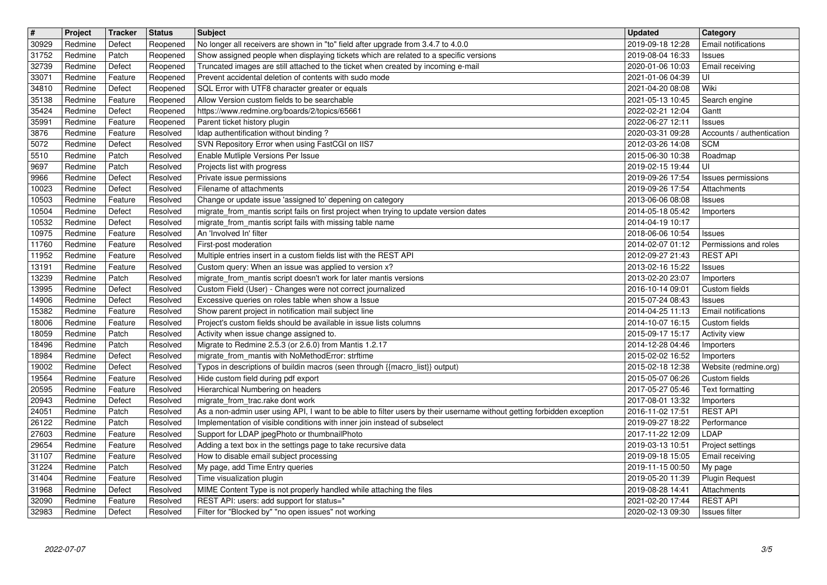| $\overline{\mathbf{H}}$ | Project            | Tracker            | <b>Status</b>        | <b>Subject</b>                                                                                                                                                             | <b>Updated</b>                       | <b>Category</b>                       |
|-------------------------|--------------------|--------------------|----------------------|----------------------------------------------------------------------------------------------------------------------------------------------------------------------------|--------------------------------------|---------------------------------------|
| 30929                   | Redmine            | Defect             | Reopened             | No longer all receivers are shown in "to" field after upgrade from 3.4.7 to 4.0.0                                                                                          | 2019-09-18 12:28                     | <b>Email notifications</b>            |
| 31752<br>32739          | Redmine<br>Redmine | Patch<br>Defect    | Reopened<br>Reopened | Show assigned people when displaying tickets which are related to a specific versions<br>Truncated images are still attached to the ticket when created by incoming e-mail | 2019-08-04 16:33<br>2020-01-06 10:03 | Issues<br>Email receiving             |
| 33071                   | Redmine            | Feature            | Reopened             | Prevent accidental deletion of contents with sudo mode                                                                                                                     | 2021-01-06 04:39                     | luı                                   |
| 34810                   | Redmine            | Defect             | Reopened             | SQL Error with UTF8 character greater or equals                                                                                                                            | 2021-04-20 08:08                     | Wiki                                  |
| 35138                   | Redmine            | Feature            | Reopened             | Allow Version custom fields to be searchable                                                                                                                               | 2021-05-13 10:45                     | Search engine                         |
| 35424<br>35991          | Redmine<br>Redmine | Defect<br>Feature  | Reopened<br>Reopened | https://www.redmine.org/boards/2/topics/65661<br>Parent ticket history plugin                                                                                              | 2022-02-21 12:04<br>2022-06-27 12:11 | Gantt<br>Issues                       |
| 3876                    | Redmine            | Feature            | Resolved             | Idap authentification without binding?                                                                                                                                     | 2020-03-31 09:28                     | Accounts / authentication             |
| 5072                    | Redmine            | Defect             | Resolved             | SVN Repository Error when using FastCGI on IIS7                                                                                                                            | 2012-03-26 14:08                     | <b>SCM</b>                            |
| 5510                    | Redmine            | Patch              | Resolved             | Enable Mutliple Versions Per Issue                                                                                                                                         | 2015-06-30 10:38                     | Roadmap                               |
| 9697<br>9966            | Redmine<br>Redmine | Patch<br>Defect    | Resolved<br>Resolved | Projects list with progress<br>Private issue permissions                                                                                                                   | 2019-02-15 19:44<br>2019-09-26 17:54 | UI<br>Issues permissions              |
| 10023                   | Redmine            | Defect             | Resolved             | Filename of attachments                                                                                                                                                    | 2019-09-26 17:54                     | Attachments                           |
| 10503                   | Redmine            | Feature            | Resolved             | Change or update issue 'assigned to' depening on category                                                                                                                  | 2013-06-06 08:08                     | Issues                                |
| 10504<br>10532          | Redmine<br>Redmine | Defect<br>Defect   | Resolved<br>Resolved | migrate_from_mantis script fails on first project when trying to update version dates                                                                                      | 2014-05-18 05:42<br>2014-04-19 10:17 | Importers                             |
| 10975                   | Redmine            | Feature            | Resolved             | migrate_from_mantis script fails with missing table name<br>An 'Involved In' filter                                                                                        | 2018-06-06 10:54                     | Issues                                |
| 11760                   | Redmine            | Feature            | Resolved             | First-post moderation                                                                                                                                                      | 2014-02-07 01:12                     | Permissions and roles                 |
| 11952                   | Redmine            | Feature            | Resolved             | Multiple entries insert in a custom fields list with the REST API                                                                                                          | 2012-09-27 21:43                     | <b>REST API</b>                       |
| 13191<br>13239          | Redmine<br>Redmine | Feature<br>Patch   | Resolved<br>Resolved | Custom query: When an issue was applied to version x?<br>migrate_from_mantis script doesn't work for later mantis versions                                                 | 2013-02-16 15:22                     | <b>Issues</b>                         |
| 13995                   | Redmine            | Defect             | Resolved             | Custom Field (User) - Changes were not correct journalized                                                                                                                 | 2013-02-20 23:07<br>2016-10-14 09:01 | Importers<br>Custom fields            |
| 14906                   | Redmine            | Defect             | Resolved             | Excessive queries on roles table when show a Issue                                                                                                                         | 2015-07-24 08:43                     | Issues                                |
| 15382                   | Redmine            | Feature            | Resolved             | Show parent project in notification mail subject line                                                                                                                      | 2014-04-25 11:13                     | Email notifications                   |
| 18006<br>18059          | Redmine<br>Redmine | Feature<br>Patch   | Resolved<br>Resolved | Project's custom fields should be available in issue lists columns<br>Activity when issue change assigned to.                                                              | 2014-10-07 16:15<br>2015-09-17 15:17 | Custom fields<br><b>Activity view</b> |
| 18496                   | Redmine            | Patch              | Resolved             | Migrate to Redmine 2.5.3 (or 2.6.0) from Mantis 1.2.17                                                                                                                     | 2014-12-28 04:46                     | Importers                             |
| 18984                   | Redmine            | Defect             | Resolved             | migrate_from_mantis with NoMethodError: strftime                                                                                                                           | 2015-02-02 16:52                     | Importers                             |
| 19002                   | Redmine            | Defect             | Resolved             | Typos in descriptions of buildin macros (seen through {{macro_list}} output)                                                                                               | 2015-02-18 12:38                     | Website (redmine.org)                 |
| 19564<br>20595          | Redmine<br>Redmine | Feature<br>Feature | Resolved<br>Resolved | Hide custom field during pdf export<br>Hierarchical Numbering on headers                                                                                                   | 2015-05-07 06:26<br>2017-05-27 05:46 | Custom fields                         |
| 20943                   | Redmine            | Defect             | Resolved             | migrate_from_trac.rake dont work                                                                                                                                           | 2017-08-01 13:32                     | Text formatting<br>Importers          |
| 24051                   | Redmine            | Patch              | Resolved             | As a non-admin user using API, I want to be able to filter users by their username without getting forbidden exception                                                     | 2016-11-02 17:51                     | <b>REST API</b>                       |
| 26122                   | Redmine            | Patch              | Resolved             | Implementation of visible conditions with inner join instead of subselect                                                                                                  | 2019-09-27 18:22                     | Performance                           |
| 27603                   | Redmine            | Feature            | Resolved             | Support for LDAP jpegPhoto or thumbnailPhoto                                                                                                                               | 2017-11-22 12:09                     | LDAP                                  |
| 29654<br>31107          | Redmine<br>Redmine | Feature<br>Feature | Resolved<br>Resolved | Adding a text box in the settings page to take recursive data<br>How to disable email subject processing                                                                   | 2019-03-13 10:51<br>2019-09-18 15:05 | Project settings<br>Email receiving   |
| 31224                   | Redmine            | Patch              | Resolved             | My page, add Time Entry queries                                                                                                                                            | 2019-11-15 00:50   My page           |                                       |
| 31404                   | Redmine            | Feature            | Resolved             | Time visualization plugin                                                                                                                                                  | 2019-05-20 11:39                     | <b>Plugin Request</b>                 |
| 31968                   | Redmine            | Defect             | Resolved             | MIME Content Type is not properly handled while attaching the files                                                                                                        | 2019-08-28 14:41                     | Attachments<br><b>REST API</b>        |
| 32090<br>32983          | Redmine<br>Redmine | Feature<br>Defect  | Resolved<br>Resolved | REST API: users: add support for status=*<br>Filter for "Blocked by" "no open issues" not working                                                                          | 2021-02-20 17:44<br>2020-02-13 09:30 | Issues filter                         |
|                         |                    |                    |                      |                                                                                                                                                                            |                                      |                                       |
|                         |                    |                    |                      |                                                                                                                                                                            |                                      |                                       |
|                         |                    |                    |                      |                                                                                                                                                                            |                                      |                                       |
|                         |                    |                    |                      |                                                                                                                                                                            |                                      |                                       |
|                         |                    |                    |                      |                                                                                                                                                                            |                                      |                                       |
|                         |                    |                    |                      |                                                                                                                                                                            |                                      |                                       |
|                         |                    |                    |                      |                                                                                                                                                                            |                                      |                                       |
|                         |                    |                    |                      |                                                                                                                                                                            |                                      |                                       |
|                         |                    |                    |                      |                                                                                                                                                                            |                                      |                                       |
|                         |                    |                    |                      |                                                                                                                                                                            |                                      |                                       |
|                         |                    |                    |                      |                                                                                                                                                                            |                                      |                                       |
|                         |                    |                    |                      |                                                                                                                                                                            |                                      |                                       |
|                         |                    |                    |                      |                                                                                                                                                                            |                                      |                                       |
|                         |                    |                    |                      |                                                                                                                                                                            |                                      |                                       |
|                         |                    |                    |                      |                                                                                                                                                                            |                                      |                                       |
|                         |                    |                    |                      |                                                                                                                                                                            |                                      |                                       |
|                         |                    |                    |                      |                                                                                                                                                                            |                                      |                                       |
|                         |                    |                    |                      |                                                                                                                                                                            |                                      |                                       |
|                         |                    |                    |                      |                                                                                                                                                                            |                                      |                                       |
|                         |                    |                    |                      |                                                                                                                                                                            |                                      |                                       |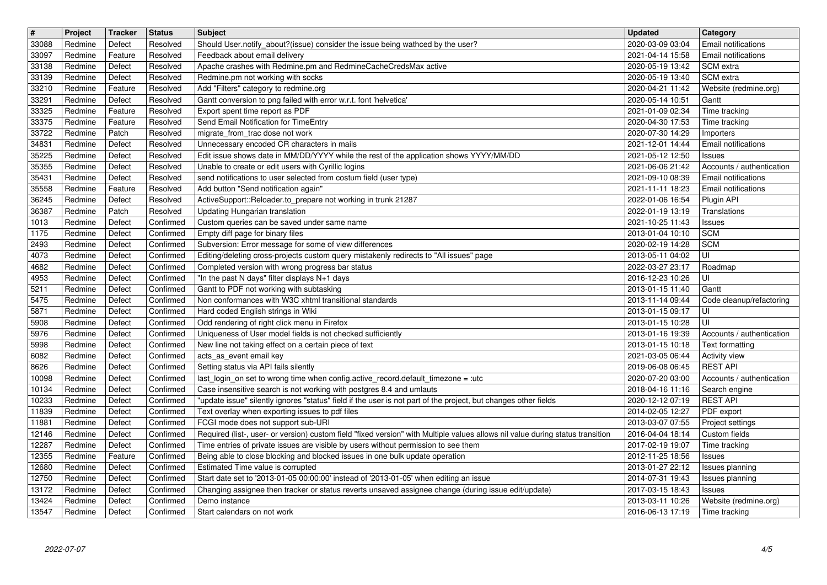| $\boxed{\texttt{#}}$ | Project            | Tracker            | <b>Status</b>          | <b>Subject</b>                                                                                                                                                                               | <b>Updated</b>                       | <b>Category</b>                                   |
|----------------------|--------------------|--------------------|------------------------|----------------------------------------------------------------------------------------------------------------------------------------------------------------------------------------------|--------------------------------------|---------------------------------------------------|
| 33088                | Redmine            | Defect             | Resolved<br>Resolved   | Should User.notify_about?(issue) consider the issue being wathced by the user?                                                                                                               | 2020-03-09 03:04                     | Email notifications<br><b>Email notifications</b> |
| 33097<br>33138       | Redmine<br>Redmine | Feature<br>Defect  | Resolved               | Feedback about email delivery<br>Apache crashes with Redmine.pm and RedmineCacheCredsMax active                                                                                              | 2021-04-14 15:58<br>2020-05-19 13:42 | <b>SCM</b> extra                                  |
| 33139                | Redmine            | Defect             | Resolved               | Redmine.pm not working with socks                                                                                                                                                            | 2020-05-19 13:40                     | SCM extra                                         |
| 33210                | Redmine            | Feature            | Resolved               | Add "Filters" category to redmine.org                                                                                                                                                        | 2020-04-21 11:42                     | Website (redmine.org)                             |
| 33291                | Redmine            | Defect             | Resolved               | Gantt conversion to png failed with error w.r.t. font 'helvetica'                                                                                                                            | 2020-05-14 10:51                     | Gantt                                             |
| 33325<br>33375       | Redmine<br>Redmine | Feature<br>Feature | Resolved<br>Resolved   | Export spent time report as PDF<br>Send Email Notification for TimeEntry                                                                                                                     | 2021-01-09 02:34<br>2020-04-30 17:53 | Time tracking<br>Time tracking                    |
| 33722                | Redmine            | Patch              | Resolved               | migrate_from_trac dose not work                                                                                                                                                              | 2020-07-30 14:29                     | Importers                                         |
| 34831                | Redmine            | Defect             | Resolved               | Unnecessary encoded CR characters in mails                                                                                                                                                   | 2021-12-01 14:44                     | Email notifications                               |
| 35225<br>35355       | Redmine<br>Redmine | Defect<br>Defect   | Resolved<br>Resolved   | Edit issue shows date in MM/DD/YYYY while the rest of the application shows YYYY/MM/DD<br>Unable to create or edit users with Cyrillic logins                                                | 2021-05-12 12:50<br>2021-06-06 21:42 | Issues<br>Accounts / authentication               |
| 35431                | Redmine            | Defect             | Resolved               | send notifications to user selected from costum field (user type)                                                                                                                            | 2021-09-10 08:39                     | <b>Email notifications</b>                        |
| 35558                | Redmine            | Feature            | Resolved               | Add button "Send notification again"                                                                                                                                                         | 2021-11-11 18:23                     | Email notifications                               |
| 36245                | Redmine            | Defect             | Resolved               | ActiveSupport::Reloader.to_prepare not working in trunk 21287                                                                                                                                | 2022-01-06 16:54                     | Plugin API                                        |
| 36387<br>1013        | Redmine<br>Redmine | Patch<br>Defect    | Resolved<br>Confirmed  | Updating Hungarian translation<br>Custom queries can be saved under same name                                                                                                                | 2022-01-19 13:19<br>2021-10-25 11:43 | Translations<br>Issues                            |
| 1175                 | Redmine            | Defect             | Confirmed              | Empty diff page for binary files                                                                                                                                                             | 2013-01-04 10:10                     | <b>SCM</b>                                        |
| 2493                 | Redmine            | Defect             | Confirmed              | Subversion: Error message for some of view differences                                                                                                                                       | 2020-02-19 14:28                     | <b>SCM</b>                                        |
| 4073                 | Redmine            | Defect             | Confirmed              | Editing/deleting cross-projects custom query mistakenly redirects to "All issues" page                                                                                                       | 2013-05-11 04:02                     | luı                                               |
| 4682<br>4953         | Redmine<br>Redmine | Defect<br>Defect   | Confirmed<br>Confirmed | Completed version with wrong progress bar status<br>"In the past N days" filter displays N+1 days                                                                                            | 2022-03-27 23:17<br>2016-12-23 10:26 | Roadmap<br>UI                                     |
| 5211                 | Redmine            | Defect             | Confirmed              | Gantt to PDF not working with subtasking                                                                                                                                                     | 2013-01-15 11:40                     | Gantt                                             |
| 5475                 | Redmine            | Defect             | Confirmed              | Non conformances with W3C xhtml transitional standards                                                                                                                                       | 2013-11-14 09:44                     | Code cleanup/refactoring                          |
| 5871                 | Redmine<br>Redmine | Defect<br>Defect   | Confirmed<br>Confirmed | Hard coded English strings in Wiki<br>Odd rendering of right click menu in Firefox                                                                                                           | 2013-01-15 09:17<br>2013-01-15 10:28 | UI<br>UI                                          |
| 5908<br>5976         | Redmine            | Defect             | Confirmed              | Uniqueness of User model fields is not checked sufficiently                                                                                                                                  | 2013-01-16 19:39                     | Accounts / authentication                         |
| 5998                 | Redmine            | Defect             | Confirmed              | New line not taking effect on a certain piece of text                                                                                                                                        | 2013-01-15 10:18                     | Text formatting                                   |
| 6082                 | Redmine            | Defect             | Confirmed              | acts_as_event email key                                                                                                                                                                      | 2021-03-05 06:44                     | Activity view                                     |
| 8626                 | Redmine<br>Redmine | Defect<br>Defect   | Confirmed<br>Confirmed | Setting status via API fails silently<br>last_login_on set to wrong time when config.active_record.default_timezone = :utc                                                                   | 2019-06-08 06:45                     | <b>REST API</b><br>Accounts / authentication      |
| 10098<br>10134       | Redmine            | Defect             | Confirmed              | Case insensitive search is not working with postgres 8.4 and umlauts                                                                                                                         | 2020-07-20 03:00<br>2018-04-16 11:16 | Search engine                                     |
| 10233                | Redmine            | Defect             | Confirmed              | "update issue" silently ignores "status" field if the user is not part of the project, but changes other fields                                                                              | 2020-12-12 07:19                     | <b>REST API</b>                                   |
| 11839                | Redmine            | Defect             | Confirmed              | Text overlay when exporting issues to pdf files                                                                                                                                              | 2014-02-05 12:27                     | PDF export                                        |
| 11881<br>12146       | Redmine<br>Redmine | Defect<br>Defect   | Confirmed<br>Confirmed | FCGI mode does not support sub-URI<br>Required (list-, user- or version) custom field "fixed version" with Multiple values allows nil value during status transition                         | 2013-03-07 07:55<br>2016-04-04 18:14 | Project settings<br>Custom fields                 |
| 12287                | Redmine            | Defect             | Confirmed              | Time entries of private issues are visible by users without permission to see them                                                                                                           | 2017-02-19 19:07                     | Time tracking                                     |
| 12355                | Redmine            | Feature            | Confirmed              | Being able to close blocking and blocked issues in one bulk update operation                                                                                                                 | 2012-11-25 18:56                     | Issues                                            |
| 12680                | Redmine            | Defect             | Confirmed              | Estimated Time value is corrupted                                                                                                                                                            | 2013-01-27 22:12   Issues planning   |                                                   |
| 12750<br>13172       | Redmine<br>Redmine | Defect<br>Defect   | Confirmed<br>Confirmed | Start date set to '2013-01-05 00:00:00' instead of '2013-01-05' when editing an issue<br>Changing assignee then tracker or status reverts unsaved assignee change (during issue edit/update) | 2014-07-31 19:43<br>2017-03-15 18:43 | Issues planning<br>Issues                         |
| 13424                | Redmine            | Defect             | Confirmed              | Demo instance                                                                                                                                                                                | 2013-03-11 10:26                     | Website (redmine.org)                             |
| 13547                | Redmine            | Defect             | Confirmed              | Start calendars on not work                                                                                                                                                                  | 2016-06-13 17:19                     | Time tracking                                     |
|                      |                    |                    |                        |                                                                                                                                                                                              |                                      |                                                   |
|                      |                    |                    |                        |                                                                                                                                                                                              |                                      |                                                   |
|                      |                    |                    |                        |                                                                                                                                                                                              |                                      |                                                   |
|                      |                    |                    |                        |                                                                                                                                                                                              |                                      |                                                   |
|                      |                    |                    |                        |                                                                                                                                                                                              |                                      |                                                   |
|                      |                    |                    |                        |                                                                                                                                                                                              |                                      |                                                   |
|                      |                    |                    |                        |                                                                                                                                                                                              |                                      |                                                   |
|                      |                    |                    |                        |                                                                                                                                                                                              |                                      |                                                   |
|                      |                    |                    |                        |                                                                                                                                                                                              |                                      |                                                   |
|                      |                    |                    |                        |                                                                                                                                                                                              |                                      |                                                   |
|                      |                    |                    |                        |                                                                                                                                                                                              |                                      |                                                   |
|                      |                    |                    |                        |                                                                                                                                                                                              |                                      |                                                   |
|                      |                    |                    |                        |                                                                                                                                                                                              |                                      |                                                   |
|                      |                    |                    |                        |                                                                                                                                                                                              |                                      |                                                   |
|                      |                    |                    |                        |                                                                                                                                                                                              |                                      |                                                   |
|                      |                    |                    |                        |                                                                                                                                                                                              |                                      |                                                   |
|                      |                    |                    |                        |                                                                                                                                                                                              |                                      |                                                   |
|                      |                    |                    |                        |                                                                                                                                                                                              |                                      |                                                   |
|                      |                    |                    |                        |                                                                                                                                                                                              |                                      |                                                   |
|                      |                    |                    |                        |                                                                                                                                                                                              |                                      |                                                   |
|                      |                    |                    |                        |                                                                                                                                                                                              |                                      |                                                   |
|                      |                    |                    |                        |                                                                                                                                                                                              |                                      |                                                   |
|                      |                    |                    |                        |                                                                                                                                                                                              |                                      |                                                   |
|                      |                    |                    |                        |                                                                                                                                                                                              |                                      |                                                   |
|                      |                    |                    |                        |                                                                                                                                                                                              |                                      |                                                   |
|                      |                    |                    |                        |                                                                                                                                                                                              |                                      |                                                   |
|                      |                    |                    |                        |                                                                                                                                                                                              |                                      |                                                   |
|                      |                    |                    |                        |                                                                                                                                                                                              |                                      |                                                   |
|                      |                    |                    |                        |                                                                                                                                                                                              |                                      |                                                   |
|                      |                    |                    |                        |                                                                                                                                                                                              |                                      |                                                   |
|                      |                    |                    |                        |                                                                                                                                                                                              |                                      |                                                   |
|                      |                    |                    |                        |                                                                                                                                                                                              |                                      |                                                   |
|                      |                    |                    |                        |                                                                                                                                                                                              |                                      |                                                   |
|                      |                    |                    |                        |                                                                                                                                                                                              |                                      |                                                   |
|                      |                    |                    |                        |                                                                                                                                                                                              |                                      |                                                   |
|                      |                    |                    |                        |                                                                                                                                                                                              |                                      |                                                   |
|                      |                    |                    |                        |                                                                                                                                                                                              |                                      |                                                   |
|                      |                    |                    |                        |                                                                                                                                                                                              |                                      |                                                   |